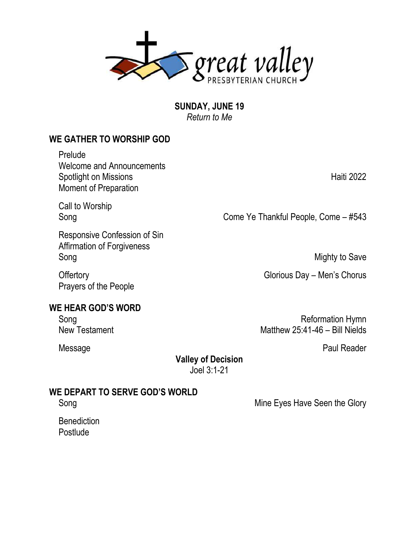

**SUNDAY, JUNE 19** *Return to Me*

### **WE GATHER TO WORSHIP GOD**

Prelude Welcome and Announcements Spotlight on Missions **Haiti** 2022 Moment of Preparation

Call to Worship

Responsive Confession of Sin Affirmation of Forgiveness Song Mighty to Save

Prayers of the People

#### **WE HEAR GOD'S WORD**

Song Come Ye Thankful People, Come – #543

Offertory Glorious Day – Men's Chorus

Song Reformation Hymn New Testament Matthew 25:41-46 – Bill Nields

Message **Paul Reader** Paul Reader

#### **Valley of Decision**

Joel 3:1-21

#### **WE DEPART TO SERVE GOD'S WORLD**

Song Song Song Song Contract Contract Contract Contract Contract Contract Contract Contract Contract Contract Contract Contract Contract Contract Contract Contract Contract Contract Contract Contract Contract Contract Cont

**Benediction Postlude**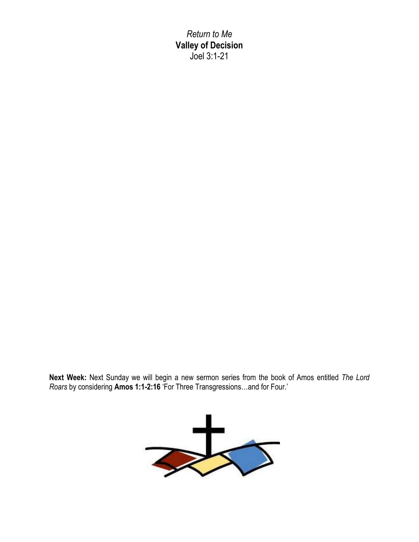*Return to Me* **Valley of Decision** Joel 3:1-21

**Next Week:** Next Sunday we will begin a new sermon series from the book of Amos entitled *The Lord Roars* by considering **Amos 1:1-2:16** 'For Three Transgressions…and for Four.'

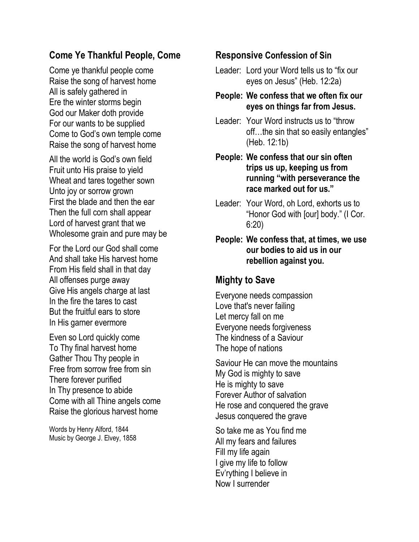# **Come Ye Thankful People, Come**

Come ye thankful people come Raise the song of harvest home All is safely gathered in Ere the winter storms begin God our Maker doth provide For our wants to be supplied Come to God's own temple come Raise the song of harvest home

All the world is God's own field Fruit unto His praise to yield Wheat and tares together sown Unto joy or sorrow grown First the blade and then the ear Then the full corn shall appear Lord of harvest grant that we Wholesome grain and pure may be

For the Lord our God shall come And shall take His harvest home From His field shall in that day All offenses purge away Give His angels charge at last In the fire the tares to cast But the fruitful ears to store In His garner evermore

Even so Lord quickly come To Thy final harvest home Gather Thou Thy people in Free from sorrow free from sin There forever purified In Thy presence to abide Come with all Thine angels come Raise the glorious harvest home

Words by Henry Alford, 1844 Music by George J. Elvey, 1858

### **Responsive Confession of Sin**

Leader: Lord your Word tells us to "fix our eyes on Jesus" (Heb. 12:2a)

### **People: We confess that we often fix our eyes on things far from Jesus.**

- Leader: Your Word instructs us to "throw off…the sin that so easily entangles" (Heb. 12:1b)
- **People: We confess that our sin often trips us up, keeping us from running "with perseverance the race marked out for us."**
- Leader: Your Word, oh Lord, exhorts us to "Honor God with [our] body." (I Cor. 6:20)
- **People: We confess that, at times, we use our bodies to aid us in our rebellion against you.**

## **Mighty to Save**

Everyone needs compassion Love that's never failing Let mercy fall on me Everyone needs forgiveness The kindness of a Saviour The hope of nations

Saviour He can move the mountains My God is mighty to save He is mighty to save Forever Author of salvation He rose and conquered the grave Jesus conquered the grave

So take me as You find me All my fears and failures Fill my life again I give my life to follow Ev'rything I believe in Now I surrender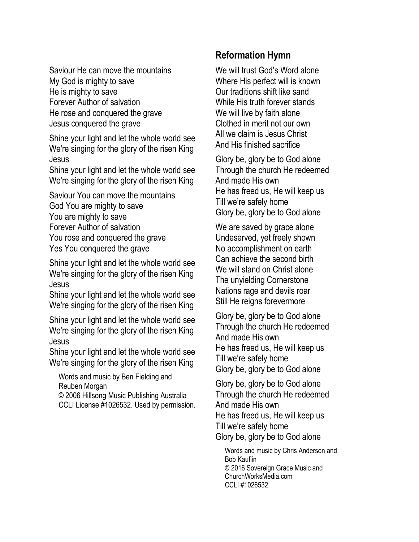Saviour He can move the mountains My God is mighty to save He is mighty to save Forever Author of salvation He rose and conquered the grave Jesus conquered the grave

Shine your light and let the whole world see We're singing for the glory of the risen King Jesus

Shine your light and let the whole world see We're singing for the glory of the risen King

Saviour You can move the mountains God You are mighty to save You are mighty to save Forever Author of salvation You rose and conquered the grave Yes You conquered the grave

Shine your light and let the whole world see We're singing for the glory of the risen King Jesus

Shine your light and let the whole world see We're singing for the glory of the risen King

Shine your light and let the whole world see We're singing for the glory of the risen King Jesus

Shine your light and let the whole world see We're singing for the glory of the risen King

Words and music by Ben Fielding and Reuben Morgan

© 2006 Hillsong Music Publishing Australia CCLI License #1026532. Used by permission.

## **Reformation Hymn**

We will trust God's Word alone Where His perfect will is known Our traditions shift like sand While His truth forever stands We will live by faith alone Clothed in merit not our own All we claim is Jesus Christ And His finished sacrifice

Glory be, glory be to God alone Through the church He redeemed And made His own He has freed us, He will keep us Till we're safely home Glory be, glory be to God alone

We are saved by grace alone Undeserved, yet freely shown No accomplishment on earth Can achieve the second birth We will stand on Christ alone The unyielding Cornerstone Nations rage and devils roar Still He reigns forevermore

Glory be, glory be to God alone Through the church He redeemed And made His own He has freed us, He will keep us Till we're safely home Glory be, glory be to God alone

Glory be, glory be to God alone Through the church He redeemed And made His own He has freed us, He will keep us Till we're safely home Glory be, glory be to God alone

Words and music by Chris Anderson and Bob Kauflin © 2016 Sovereign Grace Music and ChurchWorksMedia.com CCLI #1026532